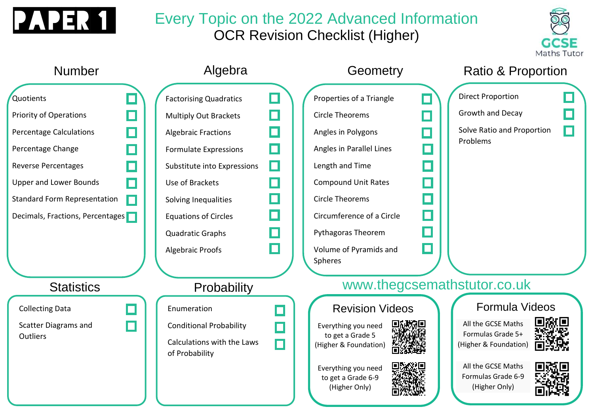

## Every Topic on the 2022 Advanced Information OCR Revision Checklist (Higher)



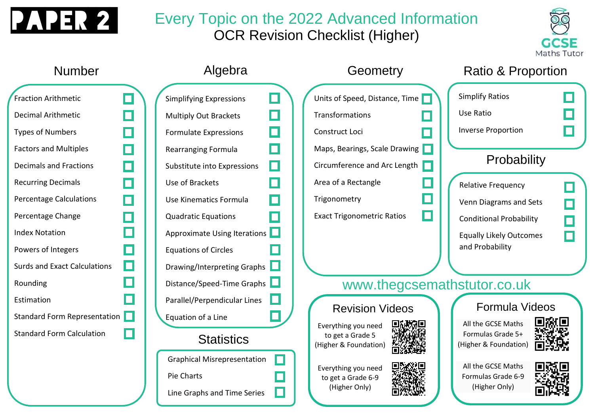

## Every Topic on the 2022 Advanced Information OCR Revision Checklist (Higher)



### Number Algebra **Geometry** Ratio & Proportion Simplify Ratios Units of Speed, Distance, Time Fraction Arithmetic Simplifying Expressions П П Use Ratio П П П Transformations Decimal Arithmetic Multiply Out Brackets Inverse Proportion Types of Numbers П П Formulate Expressions Construct Loci П П Maps, Bearings, Scale Drawing Factors and Multiples Rearranging Formula **Probability** П П Circumference and Arc Length Decimals and Fractions Substitute into Expressions Recurring Decimals П П Area of a Rectangle Use of Brackets  $\Box$ Relative Frequency П П Percentage Calculations П Use Kinematics Formula П **Trigonometry** Venn Diagrams and Sets  $\Box$ Exact Trigonometric Ratios П Percentage Change П Quadratic Equations П Conditional Probability П Approximate Using Iterations Index Notation П Equally Likely Outcomes and ProbabilityPowers of Integers П Equations of Circles П Surds and Exact Calculations Drawing/Interpreting Graphs www.thegcsemathstutor.co.uk Rounding Distance/Speed-Time Graphs Estimation Parallel/Perpendicular Lines Formula Videos Revision Videos Standard Form Representation Equation of a Line All the GCSE Maths Everything you need Standard Form Calculation Formulas Grade 5+ to get a Grade 5 **Statistics** (Higher & Foundation) (Higher & Foundation) Graphical Misrepresentation All the GCSE Maths Everything you need Pie Charts Formulas Grade 6-9 to get a Grade 6-9 (Higher Only) (Higher Only) Line Graphs and Time Series